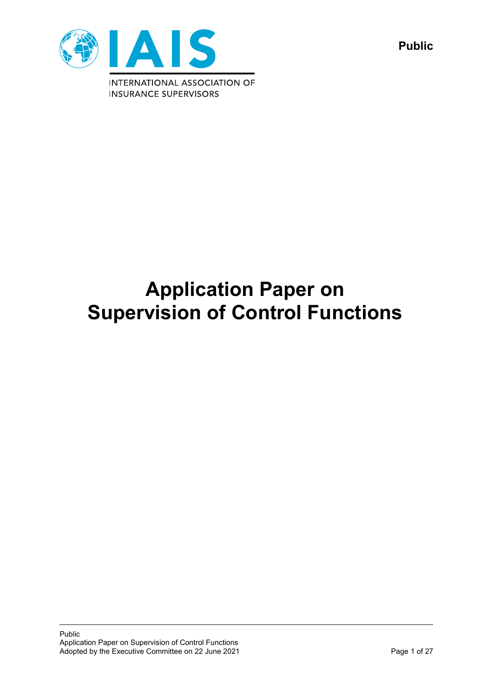

**Public**

# **Application Paper on Supervision of Control Functions**

Public Application Paper on Supervision of Control Functions Adopted by the Executive Committee on 22 June 2021 **Page 1 of 27** Page 1 of 27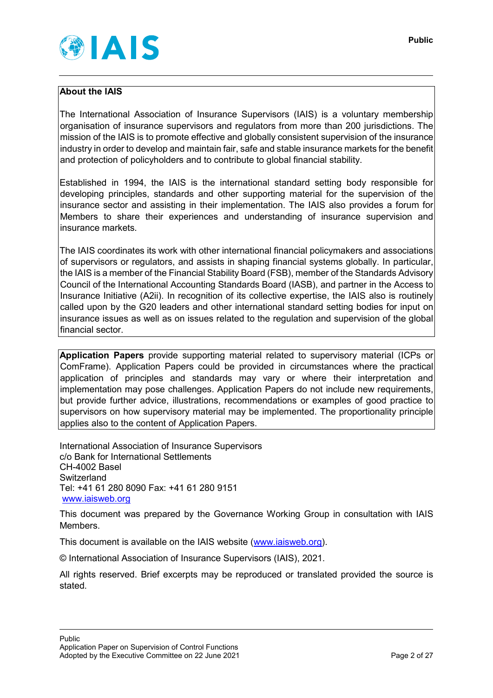

## **About the IAIS**

The International Association of Insurance Supervisors (IAIS) is a voluntary membership organisation of insurance supervisors and regulators from more than 200 jurisdictions. The mission of the IAIS is to promote effective and globally consistent supervision of the insurance industry in order to develop and maintain fair, safe and stable insurance markets for the benefit and protection of policyholders and to contribute to global financial stability.

Established in 1994, the IAIS is the international standard setting body responsible for developing principles, standards and other supporting material for the supervision of the insurance sector and assisting in their implementation. The IAIS also provides a forum for Members to share their experiences and understanding of insurance supervision and insurance markets.

The IAIS coordinates its work with other international financial policymakers and associations of supervisors or regulators, and assists in shaping financial systems globally. In particular, the IAIS is a member of the Financial Stability Board (FSB), member of the Standards Advisory Council of the International Accounting Standards Board (IASB), and partner in the Access to Insurance Initiative (A2ii). In recognition of its collective expertise, the IAIS also is routinely called upon by the G20 leaders and other international standard setting bodies for input on insurance issues as well as on issues related to the regulation and supervision of the global financial sector.

**Application Papers** provide supporting material related to supervisory material (ICPs or ComFrame). Application Papers could be provided in circumstances where the practical application of principles and standards may vary or where their interpretation and implementation may pose challenges. Application Papers do not include new requirements, but provide further advice, illustrations, recommendations or examples of good practice to supervisors on how supervisory material may be implemented. The proportionality principle applies also to the content of Application Papers.

International Association of Insurance Supervisors c/o Bank for International Settlements CH-4002 Basel **Switzerland** Tel: +41 61 280 8090 Fax: +41 61 280 9151 [www.iaisweb.org](http://www.iaisweb.org/)

This document was prepared by the Governance Working Group in consultation with IAIS Members.

This document is available on the IAIS website [\(www.iaisweb.org\)](http://www.iaisweb.org/).

© International Association of Insurance Supervisors (IAIS), 2021.

All rights reserved. Brief excerpts may be reproduced or translated provided the source is stated.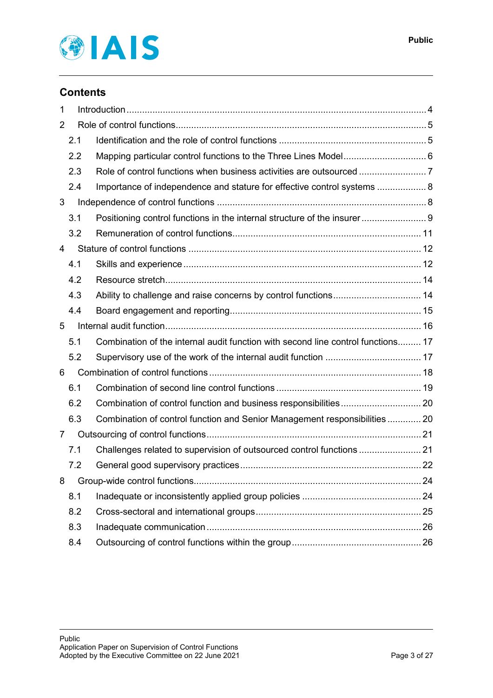

# **Contents**

| 1              |     |                                                                                  |  |
|----------------|-----|----------------------------------------------------------------------------------|--|
| 2              |     |                                                                                  |  |
|                | 2.1 |                                                                                  |  |
|                | 2.2 | Mapping particular control functions to the Three Lines Model 6                  |  |
|                | 2.3 |                                                                                  |  |
|                | 2.4 | Importance of independence and stature for effective control systems  8          |  |
| 3              |     |                                                                                  |  |
|                | 3.1 | Positioning control functions in the internal structure of the insurer 9         |  |
|                | 3.2 |                                                                                  |  |
| 4              |     |                                                                                  |  |
|                | 4.1 |                                                                                  |  |
|                | 4.2 |                                                                                  |  |
|                | 4.3 |                                                                                  |  |
|                | 4.4 |                                                                                  |  |
| 5              |     |                                                                                  |  |
|                | 5.1 | Combination of the internal audit function with second line control functions 17 |  |
|                | 5.2 |                                                                                  |  |
| 6              |     |                                                                                  |  |
|                | 6.1 |                                                                                  |  |
|                | 6.2 |                                                                                  |  |
|                | 6.3 | Combination of control function and Senior Management responsibilities 20        |  |
| $\overline{7}$ |     |                                                                                  |  |
|                | 7.1 | Challenges related to supervision of outsourced control functions  21            |  |
|                | 7.2 |                                                                                  |  |
| 8              |     |                                                                                  |  |
|                | 8.1 |                                                                                  |  |
|                | 8.2 |                                                                                  |  |
|                | 8.3 |                                                                                  |  |
|                | 8.4 |                                                                                  |  |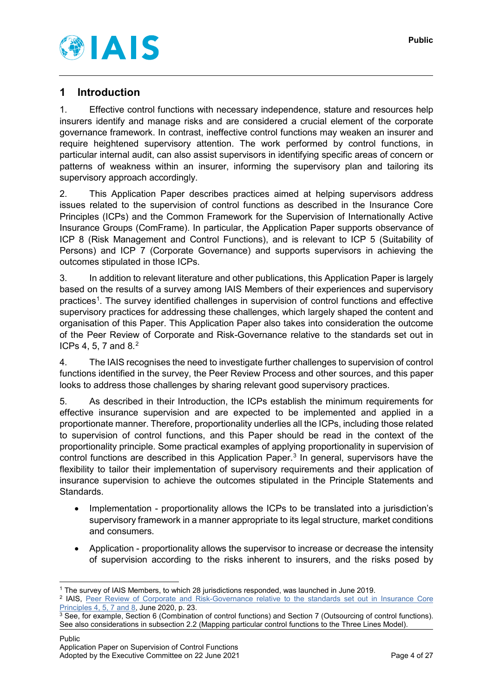

# <span id="page-3-0"></span>**1 Introduction**

1. Effective control functions with necessary independence, stature and resources help insurers identify and manage risks and are considered a crucial element of the corporate governance framework. In contrast, ineffective control functions may weaken an insurer and require heightened supervisory attention. The work performed by control functions, in particular internal audit, can also assist supervisors in identifying specific areas of concern or patterns of weakness within an insurer, informing the supervisory plan and tailoring its supervisory approach accordingly.

2. This Application Paper describes practices aimed at helping supervisors address issues related to the supervision of control functions as described in the Insurance Core Principles (ICPs) and the Common Framework for the Supervision of Internationally Active Insurance Groups (ComFrame). In particular, the Application Paper supports observance of ICP 8 (Risk Management and Control Functions), and is relevant to ICP 5 (Suitability of Persons) and ICP 7 (Corporate Governance) and supports supervisors in achieving the outcomes stipulated in those ICPs.

3. In addition to relevant literature and other publications, this Application Paper is largely based on the results of a survey among IAIS Members of their experiences and supervisory practices<sup>[1](#page-3-1)</sup>. The survey identified challenges in supervision of control functions and effective supervisory practices for addressing these challenges, which largely shaped the content and organisation of this Paper. This Application Paper also takes into consideration the outcome of the Peer Review of Corporate and Risk-Governance relative to the standards set out in ICPs 4, 5, 7 and 8. [2](#page-3-2)

4. The IAIS recognises the need to investigate further challenges to supervision of control functions identified in the survey, the Peer Review Process and other sources, and this paper looks to address those challenges by sharing relevant good supervisory practices.

5. As described in their Introduction, the ICPs establish the minimum requirements for effective insurance supervision and are expected to be implemented and applied in a proportionate manner. Therefore, proportionality underlies all the ICPs, including those related to supervision of control functions, and this Paper should be read in the context of the proportionality principle. Some practical examples of applying proportionality in supervision of control functions are described in this Application Paper. [3](#page-3-3) In general, supervisors have the flexibility to tailor their implementation of supervisory requirements and their application of insurance supervision to achieve the outcomes stipulated in the Principle Statements and Standards.

- Implementation proportionality allows the ICPs to be translated into a jurisdiction's supervisory framework in a manner appropriate to its legal structure, market conditions and consumers.
- Application proportionality allows the supervisor to increase or decrease the intensity of supervision according to the risks inherent to insurers, and the risks posed by

<span id="page-3-1"></span> <sup>1</sup> The survey of IAIS Members, to which 28 jurisdictions responded, was launched in June 2019.

<span id="page-3-2"></span><sup>&</sup>lt;sup>2</sup> IAIS, Peer Review of Corporate and Risk-Governance relative to the standards set out in Insurance Core [Principles 4, 5, 7 and 8,](https://www.iaisweb.org/page/supervisory-material/implementation-and-capacity-building/assessments/file/90676/aggregate-report-of-prp-on-icps-457-and-8) June 2020, p. 23.

<span id="page-3-3"></span><sup>3</sup> See, for example, Section 6 (Combination of control functions) and Section 7 (Outsourcing of control functions). See also considerations in subsection 2.2 (Mapping particular control functions to the Three Lines Model).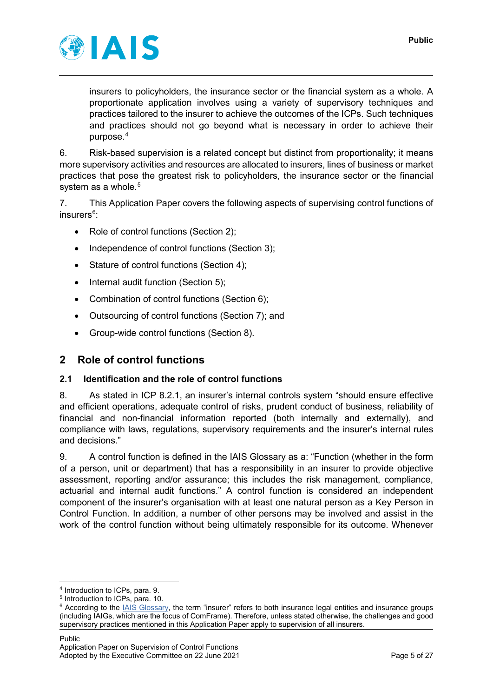

insurers to policyholders, the insurance sector or the financial system as a whole. A proportionate application involves using a variety of supervisory techniques and practices tailored to the insurer to achieve the outcomes of the ICPs. Such techniques and practices should not go beyond what is necessary in order to achieve their purpose.[4](#page-4-2)

6. Risk-based supervision is a related concept but distinct from proportionality; it means more supervisory activities and resources are allocated to insurers, lines of business or market practices that pose the greatest risk to policyholders, the insurance sector or the financial system as a whole.<sup>[5](#page-4-3)</sup>

7. This Application Paper covers the following aspects of supervising control functions of insurers<sup>[6](#page-4-4)</sup>:

- Role of control functions (Section 2);
- Independence of control functions (Section 3);
- Stature of control functions (Section 4);
- Internal audit function (Section 5);
- Combination of control functions (Section 6);
- Outsourcing of control functions (Section 7); and
- Group-wide control functions (Section 8).

# <span id="page-4-0"></span>**2 Role of control functions**

# <span id="page-4-1"></span>**2.1 Identification and the role of control functions**

8. As stated in ICP 8.2.1, an insurer's internal controls system "should ensure effective and efficient operations, adequate control of risks, prudent conduct of business, reliability of financial and non-financial information reported (both internally and externally), and compliance with laws, regulations, supervisory requirements and the insurer's internal rules and decisions."

9. A control function is defined in the IAIS Glossary as a: "Function (whether in the form of a person, unit or department) that has a responsibility in an insurer to provide objective assessment, reporting and/or assurance; this includes the risk management, compliance, actuarial and internal audit functions." A control function is considered an independent component of the insurer's organisation with at least one natural person as a Key Person in Control Function. In addition, a number of other persons may be involved and assist in the work of the control function without being ultimately responsible for its outcome. Whenever

<span id="page-4-2"></span> <sup>4</sup> Introduction to ICPs, para. 9.

<span id="page-4-3"></span><sup>5</sup> Introduction to ICPs, para. 10.

<span id="page-4-4"></span><sup>&</sup>lt;sup>6</sup> According to the [IAIS Glossary,](https://www.iaisweb.org/page/supervisory-material/glossary) the term "insurer" refers to both insurance legal entities and insurance groups (including IAIGs, which are the focus of ComFrame). Therefore, unless stated otherwise, the challenges and good supervisory practices mentioned in this Application Paper apply to supervision of all insurers.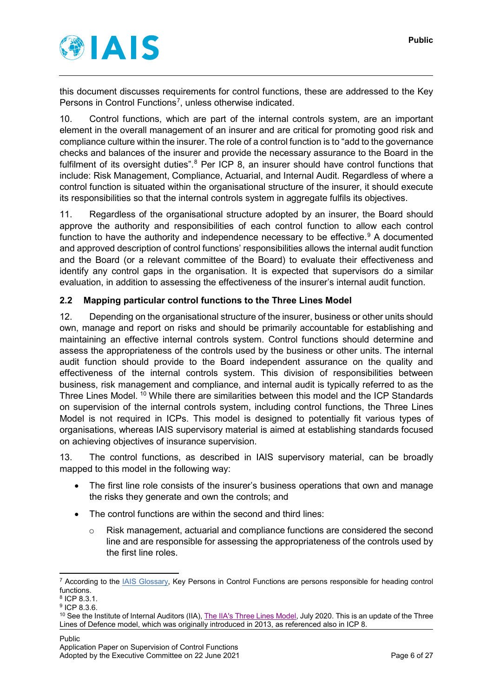

this document discusses requirements for control functions, these are addressed to the Key Persons in Control Functions<sup>[7](#page-5-1)</sup>, unless otherwise indicated.

10. Control functions, which are part of the internal controls system, are an important element in the overall management of an insurer and are critical for promoting good risk and compliance culture within the insurer. The role of a control function is to "add to the governance checks and balances of the insurer and provide the necessary assurance to the Board in the fulfilment of its oversight duties".<sup>[8](#page-5-2)</sup> Per ICP 8, an insurer should have control functions that include: Risk Management, Compliance, Actuarial, and Internal Audit. Regardless of where a control function is situated within the organisational structure of the insurer, it should execute its responsibilities so that the internal controls system in aggregate fulfils its objectives.

11. Regardless of the organisational structure adopted by an insurer, the Board should approve the authority and responsibilities of each control function to allow each control function to have the authority and independence necessary to be effective.<sup>[9](#page-5-3)</sup> A documented and approved description of control functions' responsibilities allows the internal audit function and the Board (or a relevant committee of the Board) to evaluate their effectiveness and identify any control gaps in the organisation. It is expected that supervisors do a similar evaluation, in addition to assessing the effectiveness of the insurer's internal audit function.

## <span id="page-5-0"></span>**2.2 Mapping particular control functions to the Three Lines Model**

12. Depending on the organisational structure of the insurer, business or other units should own, manage and report on risks and should be primarily accountable for establishing and maintaining an effective internal controls system. Control functions should determine and assess the appropriateness of the controls used by the business or other units. The internal audit function should provide to the Board independent assurance on the quality and effectiveness of the internal controls system. This division of responsibilities between business, risk management and compliance, and internal audit is typically referred to as the Three Lines Model. [10](#page-5-4) While there are similarities between this model and the ICP Standards on supervision of the internal controls system, including control functions, the Three Lines Model is not required in ICPs. This model is designed to potentially fit various types of organisations, whereas IAIS supervisory material is aimed at establishing standards focused on achieving objectives of insurance supervision.

13. The control functions, as described in IAIS supervisory material, can be broadly mapped to this model in the following way:

- The first line role consists of the insurer's business operations that own and manage the risks they generate and own the controls; and
- The control functions are within the second and third lines:
	- o Risk management, actuarial and compliance functions are considered the second line and are responsible for assessing the appropriateness of the controls used by the first line roles.

<span id="page-5-1"></span> <sup>7</sup> According to the [IAIS Glossary,](https://www.iaisweb.org/page/supervisory-material/glossary) Key Persons in Control Functions are persons responsible for heading control functions.

<span id="page-5-2"></span><sup>8</sup> ICP 8.3.1.

<span id="page-5-3"></span><sup>9</sup> ICP 8.3.6.

<span id="page-5-4"></span><sup>&</sup>lt;sup>10</sup> See the Institute of Internal Auditors (IIA)[, The IIA's Three Lines Model,](https://na.theiia.org/about-ia/PublicDocuments/Three-Lines-Model-Updated.pdf) July 2020. This is an update of the Three Lines of Defence model, which was originally introduced in 2013, as referenced also in ICP 8.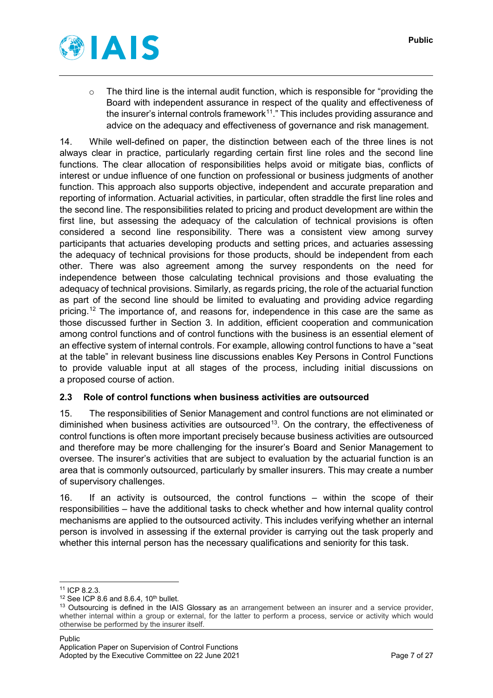

o The third line is the internal audit function, which is responsible for "providing the Board with independent assurance in respect of the quality and effectiveness of the insurer's internal controls framework $11$ ." This includes providing assurance and advice on the adequacy and effectiveness of governance and risk management.

14. While well-defined on paper, the distinction between each of the three lines is not always clear in practice, particularly regarding certain first line roles and the second line functions. The clear allocation of responsibilities helps avoid or mitigate bias, conflicts of interest or undue influence of one function on professional or business judgments of another function. This approach also supports objective, independent and accurate preparation and reporting of information. Actuarial activities, in particular, often straddle the first line roles and the second line. The responsibilities related to pricing and product development are within the first line, but assessing the adequacy of the calculation of technical provisions is often considered a second line responsibility. There was a consistent view among survey participants that actuaries developing products and setting prices, and actuaries assessing the adequacy of technical provisions for those products, should be independent from each other. There was also agreement among the survey respondents on the need for independence between those calculating technical provisions and those evaluating the adequacy of technical provisions. Similarly, as regards pricing, the role of the actuarial function as part of the second line should be limited to evaluating and providing advice regarding pricing. [12](#page-6-2) The importance of, and reasons for, independence in this case are the same as those discussed further in Section 3. In addition, efficient cooperation and communication among control functions and of control functions with the business is an essential element of an effective system of internal controls. For example, allowing control functions to have a "seat at the table" in relevant business line discussions enables Key Persons in Control Functions to provide valuable input at all stages of the process, including initial discussions on a proposed course of action.

# <span id="page-6-0"></span>**2.3 Role of control functions when business activities are outsourced**

15. The responsibilities of Senior Management and control functions are not eliminated or diminished when business activities are outsourced<sup>13</sup>. On the contrary, the effectiveness of control functions is often more important precisely because business activities are outsourced and therefore may be more challenging for the insurer's Board and Senior Management to oversee. The insurer's activities that are subject to evaluation by the actuarial function is an area that is commonly outsourced, particularly by smaller insurers. This may create a number of supervisory challenges.

16. If an activity is outsourced, the control functions – within the scope of their responsibilities – have the additional tasks to check whether and how internal quality control mechanisms are applied to the outsourced activity. This includes verifying whether an internal person is involved in assessing if the external provider is carrying out the task properly and whether this internal person has the necessary qualifications and seniority for this task.

<span id="page-6-1"></span><sup>&</sup>lt;sup>11</sup> ICP 8.2.3.<br><sup>12</sup> See ICP 8.6 and 8.6.4, 10<sup>th</sup> bullet.

<span id="page-6-3"></span><span id="page-6-2"></span> $13$  Outsourcing is defined in the IAIS Glossary as an arrangement between an insurer and a service provider, whether internal within a group or external, for the latter to perform a process, service or activity which would otherwise be performed by the insurer itself.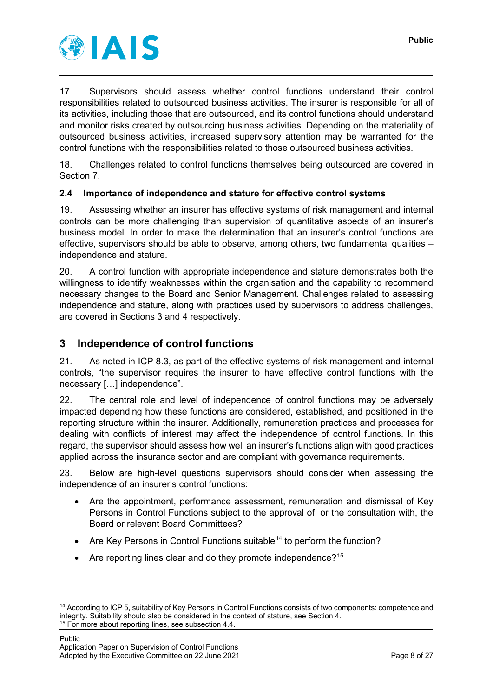

17. Supervisors should assess whether control functions understand their control responsibilities related to outsourced business activities. The insurer is responsible for all of its activities, including those that are outsourced, and its control functions should understand and monitor risks created by outsourcing business activities. Depending on the materiality of outsourced business activities, increased supervisory attention may be warranted for the control functions with the responsibilities related to those outsourced business activities.

18. Challenges related to control functions themselves being outsourced are covered in Section 7.

## <span id="page-7-0"></span>**2.4 Importance of independence and stature for effective control systems**

19. Assessing whether an insurer has effective systems of risk management and internal controls can be more challenging than supervision of quantitative aspects of an insurer's business model. In order to make the determination that an insurer's control functions are effective, supervisors should be able to observe, among others, two fundamental qualities – independence and stature.

20. A control function with appropriate independence and stature demonstrates both the willingness to identify weaknesses within the organisation and the capability to recommend necessary changes to the Board and Senior Management. Challenges related to assessing independence and stature, along with practices used by supervisors to address challenges, are covered in Sections 3 and 4 respectively.

# <span id="page-7-1"></span>**3 Independence of control functions**

21. As noted in ICP 8.3, as part of the effective systems of risk management and internal controls, "the supervisor requires the insurer to have effective control functions with the necessary […] independence".

22. The central role and level of independence of control functions may be adversely impacted depending how these functions are considered, established, and positioned in the reporting structure within the insurer. Additionally, remuneration practices and processes for dealing with conflicts of interest may affect the independence of control functions. In this regard, the supervisor should assess how well an insurer's functions align with good practices applied across the insurance sector and are compliant with governance requirements.

23. Below are high-level questions supervisors should consider when assessing the independence of an insurer's control functions:

- Are the appointment, performance assessment, remuneration and dismissal of Key Persons in Control Functions subject to the approval of, or the consultation with, the Board or relevant Board Committees?
- Are Key Persons in Control Functions suitable<sup>[14](#page-7-2)</sup> to perform the function?
- Are reporting lines clear and do they promote independence?<sup>[15](#page-7-3)</sup>

<span id="page-7-3"></span><span id="page-7-2"></span> <sup>14</sup> According to ICP 5, suitability of Key Persons in Control Functions consists of two components: competence and integrity. Suitability should also be considered in the context of stature, see Section 4.<br><sup>15</sup> For more about reporting lines, see subsection 4.4.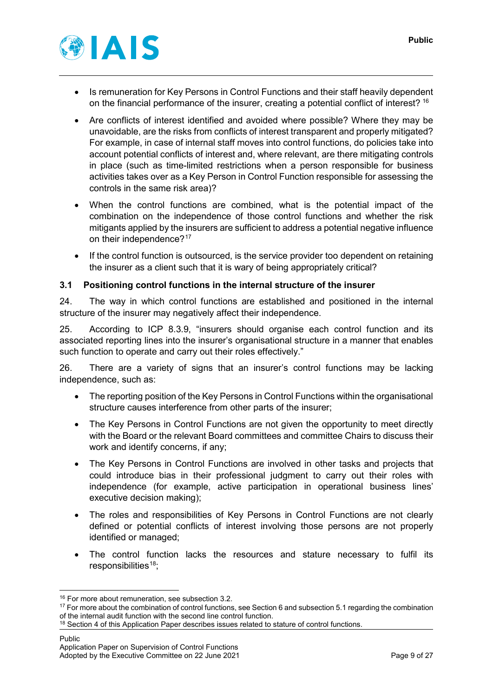

- Is remuneration for Key Persons in Control Functions and their staff heavily dependent on the financial performance of the insurer, creating a potential conflict of interest? [16](#page-8-1)
- Are conflicts of interest identified and avoided where possible? Where they may be unavoidable, are the risks from conflicts of interest transparent and properly mitigated? For example, in case of internal staff moves into control functions, do policies take into account potential conflicts of interest and, where relevant, are there mitigating controls in place (such as time-limited restrictions when a person responsible for business activities takes over as a Key Person in Control Function responsible for assessing the controls in the same risk area)?
- When the control functions are combined, what is the potential impact of the combination on the independence of those control functions and whether the risk mitigants applied by the insurers are sufficient to address a potential negative influence on their independence?<sup>[17](#page-8-2)</sup>
- If the control function is outsourced, is the service provider too dependent on retaining the insurer as a client such that it is wary of being appropriately critical?

#### <span id="page-8-0"></span>**3.1 Positioning control functions in the internal structure of the insurer**

24. The way in which control functions are established and positioned in the internal structure of the insurer may negatively affect their independence.

25. According to ICP 8.3.9, "insurers should organise each control function and its associated reporting lines into the insurer's organisational structure in a manner that enables such function to operate and carry out their roles effectively."

26. There are a variety of signs that an insurer's control functions may be lacking independence, such as:

- The reporting position of the Key Persons in Control Functions within the organisational structure causes interference from other parts of the insurer;
- The Key Persons in Control Functions are not given the opportunity to meet directly with the Board or the relevant Board committees and committee Chairs to discuss their work and identify concerns, if any;
- The Key Persons in Control Functions are involved in other tasks and projects that could introduce bias in their professional judgment to carry out their roles with independence (for example, active participation in operational business lines' executive decision making);
- The roles and responsibilities of Key Persons in Control Functions are not clearly defined or potential conflicts of interest involving those persons are not properly identified or managed;
- The control function lacks the resources and stature necessary to fulfil its responsibilities $18$ ;

<sup>&</sup>lt;sup>16</sup> For more about remuneration, see subsection 3.2.

<span id="page-8-2"></span><span id="page-8-1"></span><sup>&</sup>lt;sup>17</sup> For more about the combination of control functions, see Section 6 and subsection 5.1 regarding the combination of the internal audit function with the second line control function.

<span id="page-8-3"></span><sup>&</sup>lt;sup>18</sup> Section 4 of this Application Paper describes issues related to stature of control functions.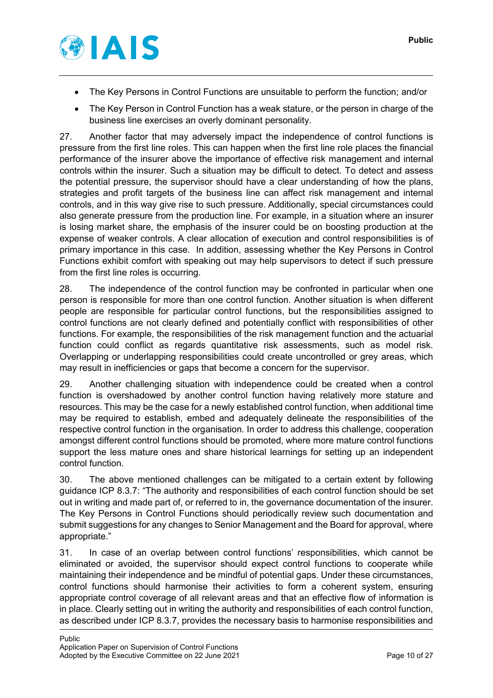

- The Key Persons in Control Functions are unsuitable to perform the function; and/or
- The Key Person in Control Function has a weak stature, or the person in charge of the business line exercises an overly dominant personality.

27. Another factor that may adversely impact the independence of control functions is pressure from the first line roles. This can happen when the first line role places the financial performance of the insurer above the importance of effective risk management and internal controls within the insurer. Such a situation may be difficult to detect. To detect and assess the potential pressure, the supervisor should have a clear understanding of how the plans, strategies and profit targets of the business line can affect risk management and internal controls, and in this way give rise to such pressure. Additionally, special circumstances could also generate pressure from the production line. For example, in a situation where an insurer is losing market share, the emphasis of the insurer could be on boosting production at the expense of weaker controls. A clear allocation of execution and control responsibilities is of primary importance in this case. In addition, assessing whether the Key Persons in Control Functions exhibit comfort with speaking out may help supervisors to detect if such pressure from the first line roles is occurring.

28. The independence of the control function may be confronted in particular when one person is responsible for more than one control function. Another situation is when different people are responsible for particular control functions, but the responsibilities assigned to control functions are not clearly defined and potentially conflict with responsibilities of other functions. For example, the responsibilities of the risk management function and the actuarial function could conflict as regards quantitative risk assessments, such as model risk. Overlapping or underlapping responsibilities could create uncontrolled or grey areas, which may result in inefficiencies or gaps that become a concern for the supervisor.

29. Another challenging situation with independence could be created when a control function is overshadowed by another control function having relatively more stature and resources. This may be the case for a newly established control function, when additional time may be required to establish, embed and adequately delineate the responsibilities of the respective control function in the organisation. In order to address this challenge, cooperation amongst different control functions should be promoted, where more mature control functions support the less mature ones and share historical learnings for setting up an independent control function.

30. The above mentioned challenges can be mitigated to a certain extent by following guidance ICP 8.3.7: "The authority and responsibilities of each control function should be set out in writing and made part of, or referred to in, the governance documentation of the insurer. The Key Persons in Control Functions should periodically review such documentation and submit suggestions for any changes to Senior Management and the Board for approval, where appropriate."

31. In case of an overlap between control functions' responsibilities, which cannot be eliminated or avoided, the supervisor should expect control functions to cooperate while maintaining their independence and be mindful of potential gaps. Under these circumstances, control functions should harmonise their activities to form a coherent system, ensuring appropriate control coverage of all relevant areas and that an effective flow of information is in place. Clearly setting out in writing the authority and responsibilities of each control function, as described under ICP 8.3.7, provides the necessary basis to harmonise responsibilities and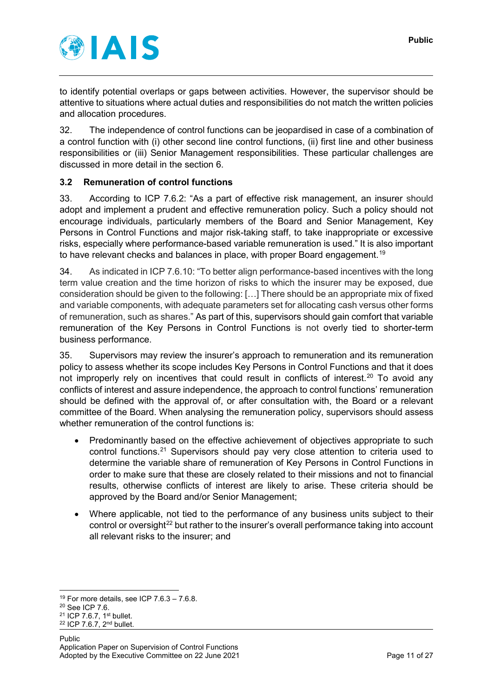

to identify potential overlaps or gaps between activities. However, the supervisor should be attentive to situations where actual duties and responsibilities do not match the written policies and allocation procedures.

32. The independence of control functions can be jeopardised in case of a combination of a control function with (i) other second line control functions, (ii) first line and other business responsibilities or (iii) Senior Management responsibilities. These particular challenges are discussed in more detail in the section 6.

# <span id="page-10-0"></span>**3.2 Remuneration of control functions**

33. According to ICP 7.6.2: "As a part of effective risk management, an insurer should adopt and implement a prudent and effective remuneration policy. Such a policy should not encourage individuals, particularly members of the Board and Senior Management, Key Persons in Control Functions and major risk-taking staff, to take inappropriate or excessive risks, especially where performance-based variable remuneration is used." It is also important to have relevant checks and balances in place, with proper Board engagement.<sup>[19](#page-10-1)</sup>

34. As indicated in ICP 7.6.10: "To better align performance-based incentives with the long term value creation and the time horizon of risks to which the insurer may be exposed, due consideration should be given to the following: […] There should be an appropriate mix of fixed and variable components, with adequate parameters set for allocating cash versus other forms of remuneration, such as shares." As part of this, supervisors should gain comfort that variable remuneration of the Key Persons in Control Functions is not overly tied to shorter-term business performance.

35. Supervisors may review the insurer's approach to remuneration and its remuneration policy to assess whether its scope includes Key Persons in Control Functions and that it does not improperly rely on incentives that could result in conflicts of interest.<sup>[20](#page-10-2)</sup> To avoid anv conflicts of interest and assure independence, the approach to control functions' remuneration should be defined with the approval of, or after consultation with, the Board or a relevant committee of the Board. When analysing the remuneration policy, supervisors should assess whether remuneration of the control functions is:

- Predominantly based on the effective achievement of objectives appropriate to such control functions.<sup>[21](#page-10-3)</sup> Supervisors should pay very close attention to criteria used to determine the variable share of remuneration of Key Persons in Control Functions in order to make sure that these are closely related to their missions and not to financial results, otherwise conflicts of interest are likely to arise. These criteria should be approved by the Board and/or Senior Management;
- Where applicable, not tied to the performance of any business units subject to their control or oversight<sup>[22](#page-10-4)</sup> but rather to the insurer's overall performance taking into account all relevant risks to the insurer; and

<span id="page-10-2"></span><span id="page-10-1"></span><sup>&</sup>lt;sup>19</sup> For more details, see ICP 7.6.3 – 7.6.8.<br><sup>20</sup> See ICP 7.6.<br><sup>21</sup> ICP 7.6.7, 1<sup>st</sup> bullet.

<span id="page-10-4"></span><span id="page-10-3"></span> $22$  ICP 7.6.7,  $2<sup>nd</sup>$  bullet.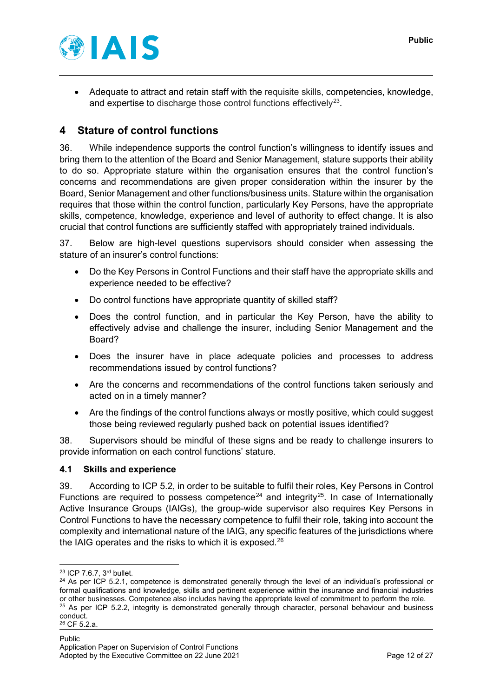

• Adequate to attract and retain staff with the requisite skills, competencies, knowledge, and expertise to discharge those control functions effectively<sup>[23](#page-11-2)</sup>.

# <span id="page-11-0"></span>**4 Stature of control functions**

36. While independence supports the control function's willingness to identify issues and bring them to the attention of the Board and Senior Management, stature supports their ability to do so. Appropriate stature within the organisation ensures that the control function's concerns and recommendations are given proper consideration within the insurer by the Board, Senior Management and other functions/business units. Stature within the organisation requires that those within the control function, particularly Key Persons, have the appropriate skills, competence, knowledge, experience and level of authority to effect change. It is also crucial that control functions are sufficiently staffed with appropriately trained individuals.

37. Below are high-level questions supervisors should consider when assessing the stature of an insurer's control functions:

- Do the Key Persons in Control Functions and their staff have the appropriate skills and experience needed to be effective?
- Do control functions have appropriate quantity of skilled staff?
- Does the control function, and in particular the Key Person, have the ability to effectively advise and challenge the insurer, including Senior Management and the Board?
- Does the insurer have in place adequate policies and processes to address recommendations issued by control functions?
- Are the concerns and recommendations of the control functions taken seriously and acted on in a timely manner?
- Are the findings of the control functions always or mostly positive, which could suggest those being reviewed regularly pushed back on potential issues identified?

38. Supervisors should be mindful of these signs and be ready to challenge insurers to provide information on each control functions' stature.

#### <span id="page-11-1"></span>**4.1 Skills and experience**

39. According to ICP 5.2, in order to be suitable to fulfil their roles, Key Persons in Control Functions are required to possess competence<sup>[24](#page-11-3)</sup> and integrity<sup>[25](#page-11-4)</sup>. In case of Internationally Active Insurance Groups (IAIGs), the group-wide supervisor also requires Key Persons in Control Functions to have the necessary competence to fulfil their role, taking into account the complexity and international nature of the IAIG, any specific features of the jurisdictions where the IAIG operates and the risks to which it is exposed.<sup>[26](#page-11-5)</sup>

<span id="page-11-2"></span> <sup>23</sup> ICP 7.6.7, 3rd bullet.

<span id="page-11-5"></span><span id="page-11-4"></span><span id="page-11-3"></span> $24$  As per ICP 5.2.1, competence is demonstrated generally through the level of an individual's professional or formal qualifications and knowledge, skills and pertinent experience within the insurance and financial industries or other businesses. Competence also includes having the appropriate level of commitment to perform the role. <sup>25</sup> As per ICP 5.2.2, integrity is demonstrated generally through character, personal behaviour and business conduct. <sup>26</sup> CF 5.2.a.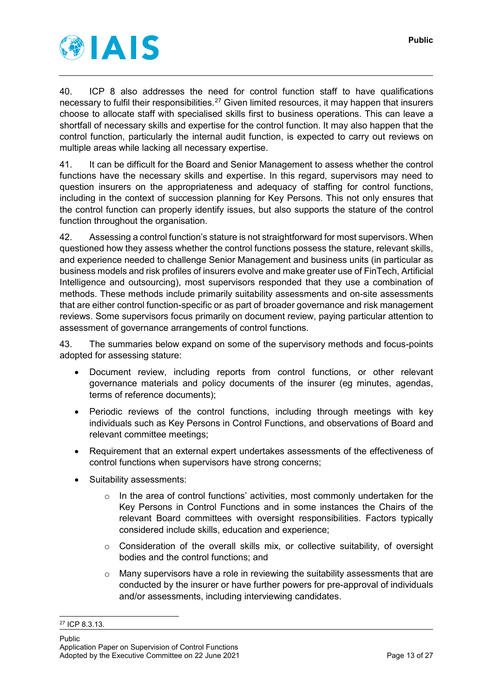

40. ICP 8 also addresses the need for control function staff to have qualifications necessary to fulfil their responsibilities.<sup>[27](#page-12-0)</sup> Given limited resources, it may happen that insurers choose to allocate staff with specialised skills first to business operations. This can leave a shortfall of necessary skills and expertise for the control function. It may also happen that the control function, particularly the internal audit function, is expected to carry out reviews on multiple areas while lacking all necessary expertise.

41. It can be difficult for the Board and Senior Management to assess whether the control functions have the necessary skills and expertise. In this regard, supervisors may need to question insurers on the appropriateness and adequacy of staffing for control functions, including in the context of succession planning for Key Persons. This not only ensures that the control function can properly identify issues, but also supports the stature of the control function throughout the organisation.

42. Assessing a control function's stature is not straightforward for most supervisors. When questioned how they assess whether the control functions possess the stature, relevant skills, and experience needed to challenge Senior Management and business units (in particular as business models and risk profiles of insurers evolve and make greater use of FinTech, Artificial Intelligence and outsourcing), most supervisors responded that they use a combination of methods. These methods include primarily suitability assessments and on-site assessments that are either control function-specific or as part of broader governance and risk management reviews. Some supervisors focus primarily on document review, paying particular attention to assessment of governance arrangements of control functions.

43. The summaries below expand on some of the supervisory methods and focus-points adopted for assessing stature:

- Document review, including reports from control functions, or other relevant governance materials and policy documents of the insurer (eg minutes, agendas, terms of reference documents);
- Periodic reviews of the control functions, including through meetings with key individuals such as Key Persons in Control Functions, and observations of Board and relevant committee meetings;
- Requirement that an external expert undertakes assessments of the effectiveness of control functions when supervisors have strong concerns;
- Suitability assessments:
	- $\circ$  In the area of control functions' activities, most commonly undertaken for the Key Persons in Control Functions and in some instances the Chairs of the relevant Board committees with oversight responsibilities. Factors typically considered include skills, education and experience;
	- $\circ$  Consideration of the overall skills mix, or collective suitability, of oversight bodies and the control functions; and
	- o Many supervisors have a role in reviewing the suitability assessments that are conducted by the insurer or have further powers for pre-approval of individuals and/or assessments, including interviewing candidates.

<span id="page-12-0"></span> <sup>27</sup> ICP 8.3.13.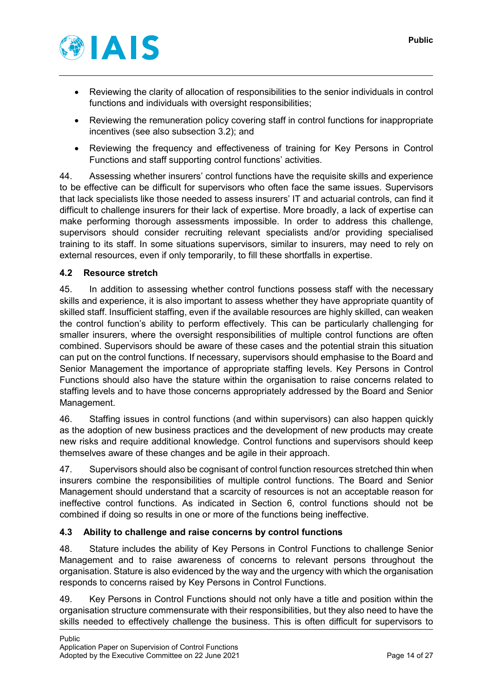

- Reviewing the clarity of allocation of responsibilities to the senior individuals in control functions and individuals with oversight responsibilities;
- Reviewing the remuneration policy covering staff in control functions for inappropriate incentives (see also subsection 3.2); and
- Reviewing the frequency and effectiveness of training for Key Persons in Control Functions and staff supporting control functions' activities.

44. Assessing whether insurers' control functions have the requisite skills and experience to be effective can be difficult for supervisors who often face the same issues. Supervisors that lack specialists like those needed to assess insurers' IT and actuarial controls, can find it difficult to challenge insurers for their lack of expertise. More broadly, a lack of expertise can make performing thorough assessments impossible. In order to address this challenge, supervisors should consider recruiting relevant specialists and/or providing specialised training to its staff. In some situations supervisors, similar to insurers, may need to rely on external resources, even if only temporarily, to fill these shortfalls in expertise.

# <span id="page-13-0"></span>**4.2 Resource stretch**

45. In addition to assessing whether control functions possess staff with the necessary skills and experience, it is also important to assess whether they have appropriate quantity of skilled staff. Insufficient staffing, even if the available resources are highly skilled, can weaken the control function's ability to perform effectively. This can be particularly challenging for smaller insurers, where the oversight responsibilities of multiple control functions are often combined. Supervisors should be aware of these cases and the potential strain this situation can put on the control functions. If necessary, supervisors should emphasise to the Board and Senior Management the importance of appropriate staffing levels. Key Persons in Control Functions should also have the stature within the organisation to raise concerns related to staffing levels and to have those concerns appropriately addressed by the Board and Senior Management.

46. Staffing issues in control functions (and within supervisors) can also happen quickly as the adoption of new business practices and the development of new products may create new risks and require additional knowledge. Control functions and supervisors should keep themselves aware of these changes and be agile in their approach.

47. Supervisors should also be cognisant of control function resources stretched thin when insurers combine the responsibilities of multiple control functions. The Board and Senior Management should understand that a scarcity of resources is not an acceptable reason for ineffective control functions. As indicated in Section 6, control functions should not be combined if doing so results in one or more of the functions being ineffective.

# <span id="page-13-1"></span>**4.3 Ability to challenge and raise concerns by control functions**

48. Stature includes the ability of Key Persons in Control Functions to challenge Senior Management and to raise awareness of concerns to relevant persons throughout the organisation. Stature is also evidenced by the way and the urgency with which the organisation responds to concerns raised by Key Persons in Control Functions.

49. Key Persons in Control Functions should not only have a title and position within the organisation structure commensurate with their responsibilities, but they also need to have the skills needed to effectively challenge the business. This is often difficult for supervisors to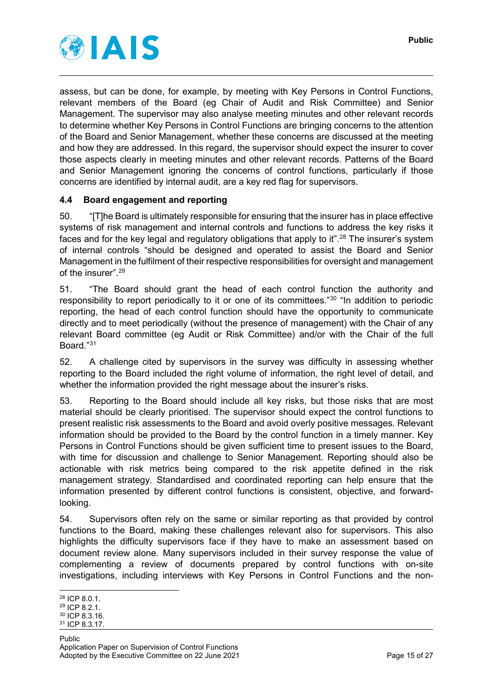

assess, but can be done, for example, by meeting with Key Persons in Control Functions, relevant members of the Board (eg Chair of Audit and Risk Committee) and Senior Management. The supervisor may also analyse meeting minutes and other relevant records to determine whether Key Persons in Control Functions are bringing concerns to the attention of the Board and Senior Management, whether these concerns are discussed at the meeting and how they are addressed. In this regard, the supervisor should expect the insurer to cover those aspects clearly in meeting minutes and other relevant records. Patterns of the Board and Senior Management ignoring the concerns of control functions, particularly if those concerns are identified by internal audit, are a key red flag for supervisors.

# <span id="page-14-0"></span>**4.4 Board engagement and reporting**

50. "[T]he Board is ultimately responsible for ensuring that the insurer has in place effective systems of risk management and internal controls and functions to address the key risks it faces and for the key legal and regulatory obligations that apply to it".<sup>[28](#page-14-1)</sup> The insurer's system of internal controls "should be designed and operated to assist the Board and Senior Management in the fulfilment of their respective responsibilities for oversight and management of the insurer".[29](#page-14-2)

51. "The Board should grant the head of each control function the authority and responsibility to report periodically to it or one of its committees."[30](#page-14-3) "In addition to periodic reporting, the head of each control function should have the opportunity to communicate directly and to meet periodically (without the presence of management) with the Chair of any relevant Board committee (eg Audit or Risk Committee) and/or with the Chair of the full Board."[31](#page-14-4)

52. A challenge cited by supervisors in the survey was difficulty in assessing whether reporting to the Board included the right volume of information, the right level of detail, and whether the information provided the right message about the insurer's risks.

53. Reporting to the Board should include all key risks, but those risks that are most material should be clearly prioritised. The supervisor should expect the control functions to present realistic risk assessments to the Board and avoid overly positive messages. Relevant information should be provided to the Board by the control function in a timely manner. Key Persons in Control Functions should be given sufficient time to present issues to the Board, with time for discussion and challenge to Senior Management. Reporting should also be actionable with risk metrics being compared to the risk appetite defined in the risk management strategy. Standardised and coordinated reporting can help ensure that the information presented by different control functions is consistent, objective, and forwardlooking.

54. Supervisors often rely on the same or similar reporting as that provided by control functions to the Board, making these challenges relevant also for supervisors. This also highlights the difficulty supervisors face if they have to make an assessment based on document review alone. Many supervisors included in their survey response the value of complementing a review of documents prepared by control functions with on-site investigations, including interviews with Key Persons in Control Functions and the non-

<span id="page-14-1"></span> <sup>28</sup> ICP 8.0.1.

<span id="page-14-2"></span><sup>29</sup> ICP 8.2.1.

<span id="page-14-3"></span><sup>30</sup> ICP 8.3.16.

<span id="page-14-4"></span><sup>31</sup> ICP 8.3.17.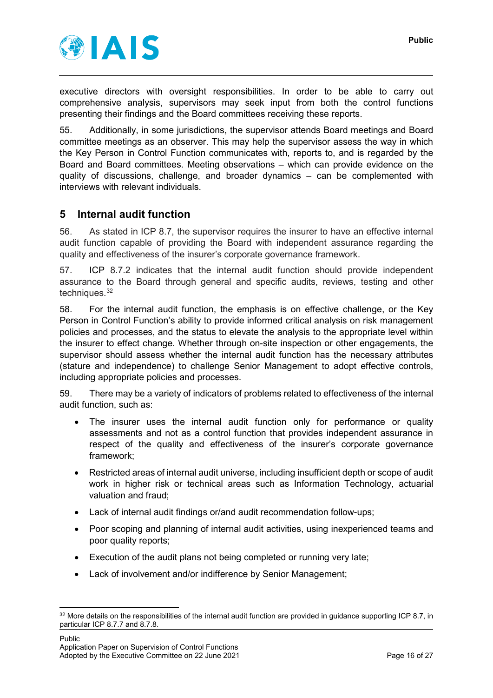

executive directors with oversight responsibilities. In order to be able to carry out comprehensive analysis, supervisors may seek input from both the control functions presenting their findings and the Board committees receiving these reports.

55. Additionally, in some jurisdictions, the supervisor attends Board meetings and Board committee meetings as an observer. This may help the supervisor assess the way in which the Key Person in Control Function communicates with, reports to, and is regarded by the Board and Board committees. Meeting observations – which can provide evidence on the quality of discussions, challenge, and broader dynamics – can be complemented with interviews with relevant individuals.

# <span id="page-15-0"></span>**5 Internal audit function**

56. As stated in ICP 8.7, the supervisor requires the insurer to have an effective internal audit function capable of providing the Board with independent assurance regarding the quality and effectiveness of the insurer's corporate governance framework.

57. ICP 8.7.2 indicates that the internal audit function should provide independent assurance to the Board through general and specific audits, reviews, testing and other techniques.<sup>[32](#page-15-1)</sup>

58. For the internal audit function, the emphasis is on effective challenge, or the Key Person in Control Function's ability to provide informed critical analysis on risk management policies and processes, and the status to elevate the analysis to the appropriate level within the insurer to effect change. Whether through on-site inspection or other engagements, the supervisor should assess whether the internal audit function has the necessary attributes (stature and independence) to challenge Senior Management to adopt effective controls, including appropriate policies and processes.

59. There may be a variety of indicators of problems related to effectiveness of the internal audit function, such as:

- The insurer uses the internal audit function only for performance or quality assessments and not as a control function that provides independent assurance in respect of the quality and effectiveness of the insurer's corporate governance framework;
- Restricted areas of internal audit universe, including insufficient depth or scope of audit work in higher risk or technical areas such as Information Technology, actuarial valuation and fraud;
- Lack of internal audit findings or/and audit recommendation follow-ups;
- Poor scoping and planning of internal audit activities, using inexperienced teams and poor quality reports;
- Execution of the audit plans not being completed or running very late;
- Lack of involvement and/or indifference by Senior Management;

<span id="page-15-1"></span> $32$  More details on the responsibilities of the internal audit function are provided in quidance supporting ICP 8.7, in particular ICP 8.7.7 and 8.7.8.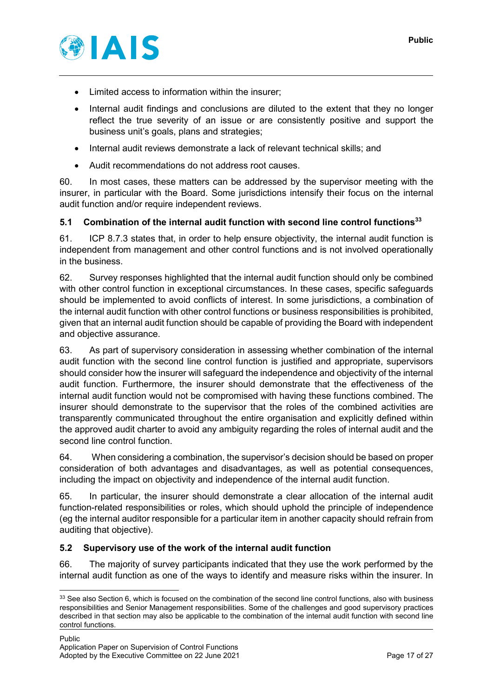

- Limited access to information within the insurer;
- Internal audit findings and conclusions are diluted to the extent that they no longer reflect the true severity of an issue or are consistently positive and support the business unit's goals, plans and strategies;
- Internal audit reviews demonstrate a lack of relevant technical skills; and
- Audit recommendations do not address root causes.

60. In most cases, these matters can be addressed by the supervisor meeting with the insurer, in particular with the Board. Some jurisdictions intensify their focus on the internal audit function and/or require independent reviews.

## <span id="page-16-0"></span>**5.1 Combination of the internal audit function with second line control functions[33](#page-16-2)**

61. ICP 8.7.3 states that, in order to help ensure objectivity, the internal audit function is independent from management and other control functions and is not involved operationally in the business.

62. Survey responses highlighted that the internal audit function should only be combined with other control function in exceptional circumstances. In these cases, specific safeguards should be implemented to avoid conflicts of interest. In some jurisdictions, a combination of the internal audit function with other control functions or business responsibilities is prohibited, given that an internal audit function should be capable of providing the Board with independent and objective assurance.

63. As part of supervisory consideration in assessing whether combination of the internal audit function with the second line control function is justified and appropriate, supervisors should consider how the insurer will safeguard the independence and objectivity of the internal audit function. Furthermore, the insurer should demonstrate that the effectiveness of the internal audit function would not be compromised with having these functions combined. The insurer should demonstrate to the supervisor that the roles of the combined activities are transparently communicated throughout the entire organisation and explicitly defined within the approved audit charter to avoid any ambiguity regarding the roles of internal audit and the second line control function.

64. When considering a combination, the supervisor's decision should be based on proper consideration of both advantages and disadvantages, as well as potential consequences, including the impact on objectivity and independence of the internal audit function.

65. In particular, the insurer should demonstrate a clear allocation of the internal audit function-related responsibilities or roles, which should uphold the principle of independence (eg the internal auditor responsible for a particular item in another capacity should refrain from auditing that objective).

#### <span id="page-16-1"></span>**5.2 Supervisory use of the work of the internal audit function**

66. The majority of survey participants indicated that they use the work performed by the internal audit function as one of the ways to identify and measure risks within the insurer. In

<span id="page-16-2"></span><sup>33</sup> See also Section 6, which is focused on the combination of the second line control functions, also with business responsibilities and Senior Management responsibilities. Some of the challenges and good supervisory practices described in that section may also be applicable to the combination of the internal audit function with second line control functions.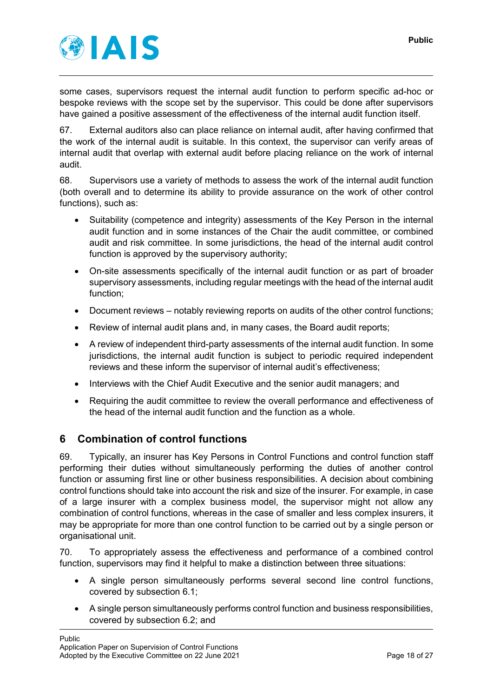

some cases, supervisors request the internal audit function to perform specific ad-hoc or bespoke reviews with the scope set by the supervisor. This could be done after supervisors have gained a positive assessment of the effectiveness of the internal audit function itself.

67. External auditors also can place reliance on internal audit, after having confirmed that the work of the internal audit is suitable. In this context, the supervisor can verify areas of internal audit that overlap with external audit before placing reliance on the work of internal audit.

68. Supervisors use a variety of methods to assess the work of the internal audit function (both overall and to determine its ability to provide assurance on the work of other control functions), such as:

- Suitability (competence and integrity) assessments of the Key Person in the internal audit function and in some instances of the Chair the audit committee, or combined audit and risk committee. In some jurisdictions, the head of the internal audit control function is approved by the supervisory authority;
- On-site assessments specifically of the internal audit function or as part of broader supervisory assessments, including regular meetings with the head of the internal audit function;
- Document reviews notably reviewing reports on audits of the other control functions;
- Review of internal audit plans and, in many cases, the Board audit reports;
- A review of independent third-party assessments of the internal audit function. In some jurisdictions, the internal audit function is subject to periodic required independent reviews and these inform the supervisor of internal audit's effectiveness;
- Interviews with the Chief Audit Executive and the senior audit managers; and
- Requiring the audit committee to review the overall performance and effectiveness of the head of the internal audit function and the function as a whole.

# <span id="page-17-0"></span>**6 Combination of control functions**

69. Typically, an insurer has Key Persons in Control Functions and control function staff performing their duties without simultaneously performing the duties of another control function or assuming first line or other business responsibilities. A decision about combining control functions should take into account the risk and size of the insurer. For example, in case of a large insurer with a complex business model, the supervisor might not allow any combination of control functions, whereas in the case of smaller and less complex insurers, it may be appropriate for more than one control function to be carried out by a single person or organisational unit.

70. To appropriately assess the effectiveness and performance of a combined control function, supervisors may find it helpful to make a distinction between three situations:

- A single person simultaneously performs several second line control functions, covered by subsection 6.1;
- A single person simultaneously performs control function and business responsibilities, covered by subsection 6.2; and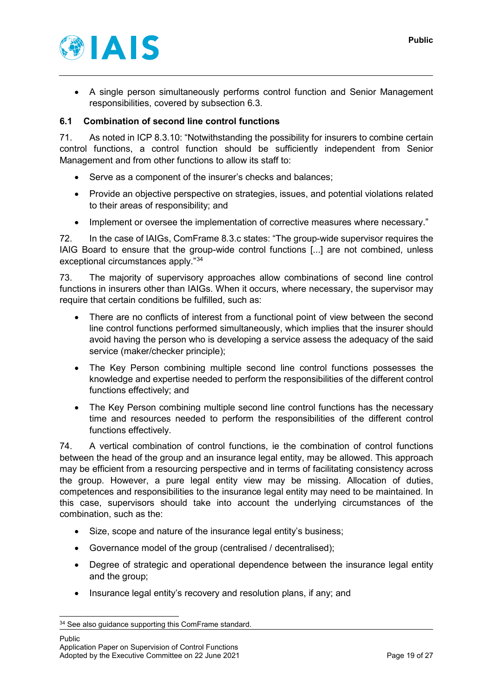

• A single person simultaneously performs control function and Senior Management responsibilities, covered by subsection 6.3.

## <span id="page-18-0"></span>**6.1 Combination of second line control functions**

71. As noted in ICP 8.3.10: "Notwithstanding the possibility for insurers to combine certain control functions, a control function should be sufficiently independent from Senior Management and from other functions to allow its staff to:

- Serve as a component of the insurer's checks and balances;
- Provide an objective perspective on strategies, issues, and potential violations related to their areas of responsibility; and
- Implement or oversee the implementation of corrective measures where necessary."

72. In the case of IAIGs, ComFrame 8.3.c states: "The group-wide supervisor requires the IAIG Board to ensure that the group-wide control functions [...] are not combined, unless exceptional circumstances apply."[34](#page-18-1)

73. The majority of supervisory approaches allow combinations of second line control functions in insurers other than IAIGs. When it occurs, where necessary, the supervisor may require that certain conditions be fulfilled, such as:

- There are no conflicts of interest from a functional point of view between the second line control functions performed simultaneously, which implies that the insurer should avoid having the person who is developing a service assess the adequacy of the said service (maker/checker principle);
- The Key Person combining multiple second line control functions possesses the knowledge and expertise needed to perform the responsibilities of the different control functions effectively; and
- The Key Person combining multiple second line control functions has the necessary time and resources needed to perform the responsibilities of the different control functions effectively.

74. A vertical combination of control functions, ie the combination of control functions between the head of the group and an insurance legal entity, may be allowed. This approach may be efficient from a resourcing perspective and in terms of facilitating consistency across the group. However, a pure legal entity view may be missing. Allocation of duties, competences and responsibilities to the insurance legal entity may need to be maintained. In this case, supervisors should take into account the underlying circumstances of the combination, such as the:

- Size, scope and nature of the insurance legal entity's business;
- Governance model of the group (centralised / decentralised);
- Degree of strategic and operational dependence between the insurance legal entity and the group;
- Insurance legal entity's recovery and resolution plans, if any; and

<span id="page-18-1"></span><sup>&</sup>lt;sup>34</sup> See also guidance supporting this ComFrame standard.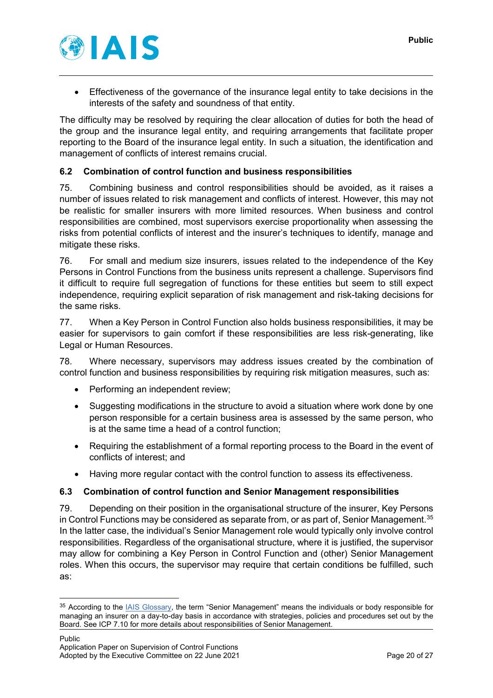

• Effectiveness of the governance of the insurance legal entity to take decisions in the interests of the safety and soundness of that entity.

The difficulty may be resolved by requiring the clear allocation of duties for both the head of the group and the insurance legal entity, and requiring arrangements that facilitate proper reporting to the Board of the insurance legal entity. In such a situation, the identification and management of conflicts of interest remains crucial.

## <span id="page-19-0"></span>**6.2 Combination of control function and business responsibilities**

75. Combining business and control responsibilities should be avoided, as it raises a number of issues related to risk management and conflicts of interest. However, this may not be realistic for smaller insurers with more limited resources. When business and control responsibilities are combined, most supervisors exercise proportionality when assessing the risks from potential conflicts of interest and the insurer's techniques to identify, manage and mitigate these risks.

76. For small and medium size insurers, issues related to the independence of the Key Persons in Control Functions from the business units represent a challenge. Supervisors find it difficult to require full segregation of functions for these entities but seem to still expect independence, requiring explicit separation of risk management and risk-taking decisions for the same risks.

77. When a Key Person in Control Function also holds business responsibilities, it may be easier for supervisors to gain comfort if these responsibilities are less risk-generating, like Legal or Human Resources.

78. Where necessary, supervisors may address issues created by the combination of control function and business responsibilities by requiring risk mitigation measures, such as:

- Performing an independent review;
- Suggesting modifications in the structure to avoid a situation where work done by one person responsible for a certain business area is assessed by the same person, who is at the same time a head of a control function;
- Requiring the establishment of a formal reporting process to the Board in the event of conflicts of interest; and
- Having more regular contact with the control function to assess its effectiveness.

#### <span id="page-19-1"></span>**6.3 Combination of control function and Senior Management responsibilities**

79. Depending on their position in the organisational structure of the insurer, Key Persons in Control Functions may be considered as separate from, or as part of, Senior Management. [35](#page-19-2) In the latter case, the individual's Senior Management role would typically only involve control responsibilities. Regardless of the organisational structure, where it is justified, the supervisor may allow for combining a Key Person in Control Function and (other) Senior Management roles. When this occurs, the supervisor may require that certain conditions be fulfilled, such as:

<span id="page-19-2"></span><sup>35</sup> According to the **IAIS Glossary**, the term "Senior Management" means the individuals or body responsible for managing an insurer on a day-to-day basis in accordance with strategies, policies and procedures set out by the Board. See ICP 7.10 for more details about responsibilities of Senior Management.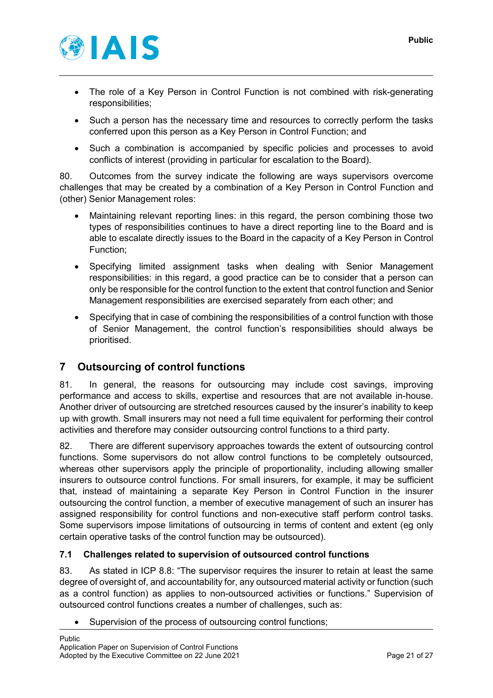

- The role of a Key Person in Control Function is not combined with risk-generating responsibilities;
- Such a person has the necessary time and resources to correctly perform the tasks conferred upon this person as a Key Person in Control Function; and
- Such a combination is accompanied by specific policies and processes to avoid conflicts of interest (providing in particular for escalation to the Board).

80. Outcomes from the survey indicate the following are ways supervisors overcome challenges that may be created by a combination of a Key Person in Control Function and (other) Senior Management roles:

- Maintaining relevant reporting lines: in this regard, the person combining those two types of responsibilities continues to have a direct reporting line to the Board and is able to escalate directly issues to the Board in the capacity of a Key Person in Control Function;
- Specifying limited assignment tasks when dealing with Senior Management responsibilities: in this regard, a good practice can be to consider that a person can only be responsible for the control function to the extent that control function and Senior Management responsibilities are exercised separately from each other; and
- Specifying that in case of combining the responsibilities of a control function with those of Senior Management, the control function's responsibilities should always be prioritised.

# <span id="page-20-0"></span>**7 Outsourcing of control functions**

81. In general, the reasons for outsourcing may include cost savings, improving performance and access to skills, expertise and resources that are not available in-house. Another driver of outsourcing are stretched resources caused by the insurer's inability to keep up with growth. Small insurers may not need a full time equivalent for performing their control activities and therefore may consider outsourcing control functions to a third party.

82. There are different supervisory approaches towards the extent of outsourcing control functions. Some supervisors do not allow control functions to be completely outsourced, whereas other supervisors apply the principle of proportionality, including allowing smaller insurers to outsource control functions. For small insurers, for example, it may be sufficient that, instead of maintaining a separate Key Person in Control Function in the insurer outsourcing the control function, a member of executive management of such an insurer has assigned responsibility for control functions and non-executive staff perform control tasks. Some supervisors impose limitations of outsourcing in terms of content and extent (eg only certain operative tasks of the control function may be outsourced).

# <span id="page-20-1"></span>**7.1 Challenges related to supervision of outsourced control functions**

83. As stated in ICP 8.8: "The supervisor requires the insurer to retain at least the same degree of oversight of, and accountability for, any outsourced material activity or function (such as a control function) as applies to non-outsourced activities or functions." Supervision of outsourced control functions creates a number of challenges, such as:

• Supervision of the process of outsourcing control functions;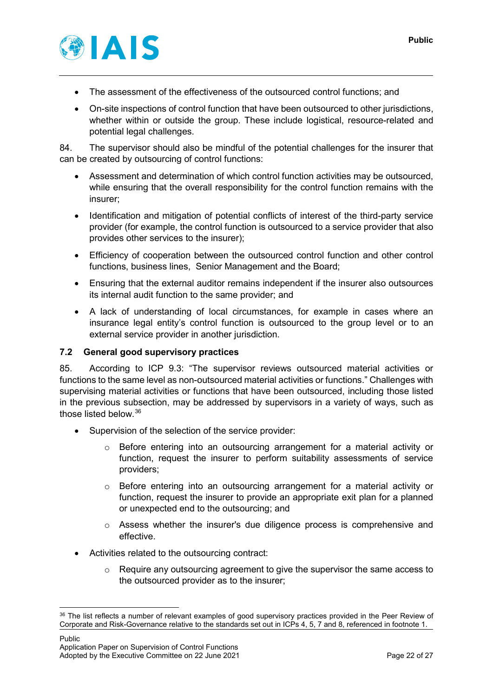

- The assessment of the effectiveness of the outsourced control functions; and
- On-site inspections of control function that have been outsourced to other jurisdictions, whether within or outside the group. These include logistical, resource-related and potential legal challenges.

84. The supervisor should also be mindful of the potential challenges for the insurer that can be created by outsourcing of control functions:

- Assessment and determination of which control function activities may be outsourced, while ensuring that the overall responsibility for the control function remains with the insurer;
- Identification and mitigation of potential conflicts of interest of the third-party service provider (for example, the control function is outsourced to a service provider that also provides other services to the insurer);
- Efficiency of cooperation between the outsourced control function and other control functions, business lines, Senior Management and the Board;
- Ensuring that the external auditor remains independent if the insurer also outsources its internal audit function to the same provider; and
- A lack of understanding of local circumstances, for example in cases where an insurance legal entity's control function is outsourced to the group level or to an external service provider in another jurisdiction.

#### <span id="page-21-0"></span>**7.2 General good supervisory practices**

85. According to ICP 9.3: "The supervisor reviews outsourced material activities or functions to the same level as non-outsourced material activities or functions." Challenges with supervising material activities or functions that have been outsourced, including those listed in the previous subsection, may be addressed by supervisors in a variety of ways, such as those listed below. [36](#page-21-1)

- Supervision of the selection of the service provider:
	- o Before entering into an outsourcing arrangement for a material activity or function, request the insurer to perform suitability assessments of service providers;
	- $\circ$  Before entering into an outsourcing arrangement for a material activity or function, request the insurer to provide an appropriate exit plan for a planned or unexpected end to the outsourcing; and
	- o Assess whether the insurer's due diligence process is comprehensive and effective.
- Activities related to the outsourcing contract:
	- $\circ$  Require any outsourcing agreement to give the supervisor the same access to the outsourced provider as to the insurer;

<span id="page-21-1"></span><sup>36</sup> The list reflects a number of relevant examples of good supervisory practices provided in the Peer Review of Corporate and Risk-Governance relative to the standards set out in ICPs 4, 5, 7 and 8, referenced in footnote 1.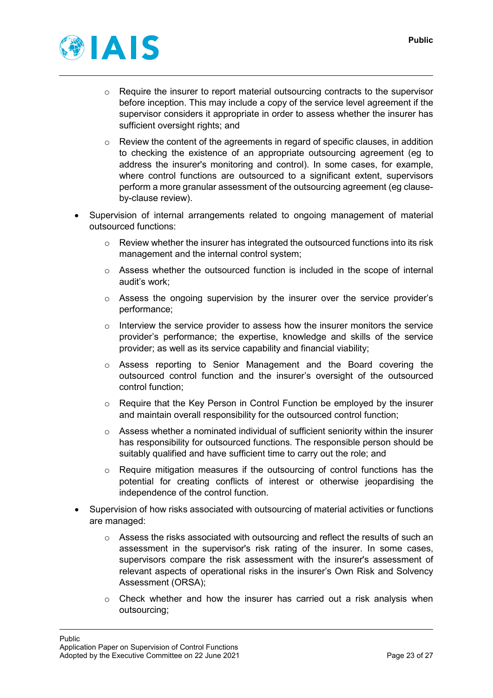

- $\circ$  Require the insurer to report material outsourcing contracts to the supervisor before inception. This may include a copy of the service level agreement if the supervisor considers it appropriate in order to assess whether the insurer has sufficient oversight rights; and
- $\circ$  Review the content of the agreements in regard of specific clauses, in addition to checking the existence of an appropriate outsourcing agreement (eg to address the insurer's monitoring and control). In some cases, for example, where control functions are outsourced to a significant extent, supervisors perform a more granular assessment of the outsourcing agreement (eg clauseby-clause review).
- Supervision of internal arrangements related to ongoing management of material outsourced functions:
	- $\circ$  Review whether the insurer has integrated the outsourced functions into its risk management and the internal control system;
	- $\circ$  Assess whether the outsourced function is included in the scope of internal audit's work;
	- $\circ$  Assess the ongoing supervision by the insurer over the service provider's performance;
	- $\circ$  Interview the service provider to assess how the insurer monitors the service provider's performance; the expertise, knowledge and skills of the service provider; as well as its service capability and financial viability;
	- o Assess reporting to Senior Management and the Board covering the outsourced control function and the insurer's oversight of the outsourced control function;
	- o Require that the Key Person in Control Function be employed by the insurer and maintain overall responsibility for the outsourced control function;
	- $\circ$  Assess whether a nominated individual of sufficient seniority within the insurer has responsibility for outsourced functions. The responsible person should be suitably qualified and have sufficient time to carry out the role; and
	- o Require mitigation measures if the outsourcing of control functions has the potential for creating conflicts of interest or otherwise jeopardising the independence of the control function.
- Supervision of how risks associated with outsourcing of material activities or functions are managed:
	- $\circ$  Assess the risks associated with outsourcing and reflect the results of such an assessment in the supervisor's risk rating of the insurer. In some cases, supervisors compare the risk assessment with the insurer's assessment of relevant aspects of operational risks in the insurer's Own Risk and Solvency Assessment (ORSA);
	- $\circ$  Check whether and how the insurer has carried out a risk analysis when outsourcing;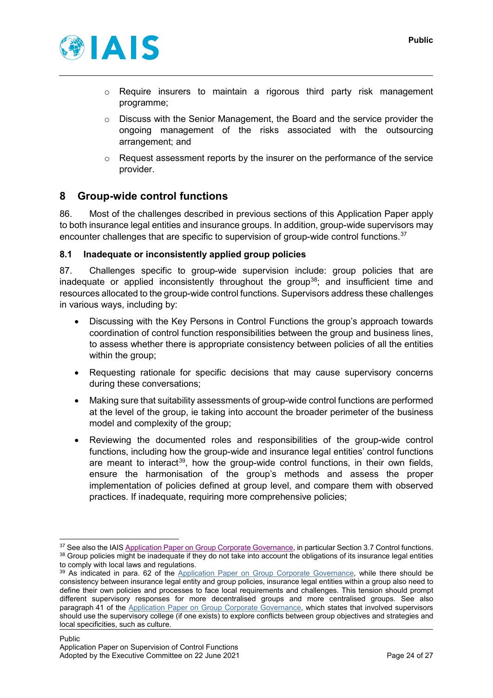

- $\circ$  Require insurers to maintain a rigorous third party risk management programme;
- Discuss with the Senior Management, the Board and the service provider the ongoing management of the risks associated with the outsourcing arrangement; and
- o Request assessment reports by the insurer on the performance of the service provider.

# <span id="page-23-0"></span>**8 Group-wide control functions**

86. Most of the challenges described in previous sections of this Application Paper apply to both insurance legal entities and insurance groups. In addition, group-wide supervisors may encounter challenges that are specific to supervision of group-wide control functions.<sup>[37](#page-23-2)</sup>

## <span id="page-23-1"></span>**8.1 Inadequate or inconsistently applied group policies**

87. Challenges specific to group-wide supervision include: group policies that are inadequate or applied inconsistently throughout the group<sup>38</sup>; and insufficient time and resources allocated to the group-wide control functions. Supervisors address these challenges in various ways, including by:

- Discussing with the Key Persons in Control Functions the group's approach towards coordination of control function responsibilities between the group and business lines, to assess whether there is appropriate consistency between policies of all the entities within the group;
- Requesting rationale for specific decisions that may cause supervisory concerns during these conversations;
- Making sure that suitability assessments of group-wide control functions are performed at the level of the group, ie taking into account the broader perimeter of the business model and complexity of the group;
- Reviewing the documented roles and responsibilities of the group-wide control functions, including how the group-wide and insurance legal entities' control functions are meant to interact<sup>39</sup>, how the group-wide control functions, in their own fields, ensure the harmonisation of the group's methods and assess the proper implementation of policies defined at group level, and compare them with observed practices. If inadequate, requiring more comprehensive policies;

<span id="page-23-3"></span><span id="page-23-2"></span><sup>&</sup>lt;sup>37</sup> See also the IAI[S Application Paper on Group Corporate Governance,](https://www.iaisweb.org/page/supervisory-material/application-papers/file/69940/application-paper-on-group-corporate-governance) in particular Section 3.7 Control functions. 38 Group policies might be inadequate if they do not take into account the obligations of its insurance legal entities to comply with local laws and regulations.

<span id="page-23-4"></span><sup>&</sup>lt;sup>39</sup> As indicated in para. 62 of the [Application Paper on Group Corporate Governance,](https://www.iaisweb.org/page/supervisory-material/application-papers/file/69940/application-paper-on-group-corporate-governance) while there should be consistency between insurance legal entity and group policies, insurance legal entities within a group also need to define their own policies and processes to face local requirements and challenges. This tension should prompt different supervisory responses for more decentralised groups and more centralised groups. See also paragraph 41 of the [Application Paper on Group Corporate Governance,](https://www.iaisweb.org/page/supervisory-material/application-papers/file/69940/application-paper-on-group-corporate-governance) which states that involved supervisors should use the supervisory college (if one exists) to explore conflicts between group objectives and strategies and local specificities, such as culture.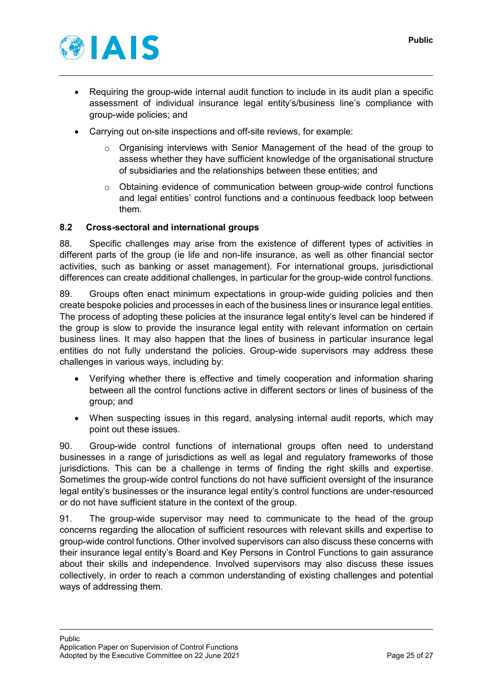

- Requiring the group-wide internal audit function to include in its audit plan a specific assessment of individual insurance legal entity's/business line's compliance with group-wide policies; and
- Carrying out on-site inspections and off-site reviews, for example:
	- $\circ$  Organising interviews with Senior Management of the head of the group to assess whether they have sufficient knowledge of the organisational structure of subsidiaries and the relationships between these entities; and
	- $\circ$  Obtaining evidence of communication between group-wide control functions and legal entities' control functions and a continuous feedback loop between them.

## <span id="page-24-0"></span>**8.2 Cross-sectoral and international groups**

88. Specific challenges may arise from the existence of different types of activities in different parts of the group (ie life and non-life insurance, as well as other financial sector activities, such as banking or asset management). For international groups, jurisdictional differences can create additional challenges, in particular for the group-wide control functions.

89. Groups often enact minimum expectations in group-wide guiding policies and then create bespoke policies and processes in each of the business lines or insurance legal entities. The process of adopting these policies at the insurance legal entity's level can be hindered if the group is slow to provide the insurance legal entity with relevant information on certain business lines. It may also happen that the lines of business in particular insurance legal entities do not fully understand the policies. Group-wide supervisors may address these challenges in various ways, including by:

- Verifying whether there is effective and timely cooperation and information sharing between all the control functions active in different sectors or lines of business of the group; and
- When suspecting issues in this regard, analysing internal audit reports, which may point out these issues.

90. Group-wide control functions of international groups often need to understand businesses in a range of jurisdictions as well as legal and regulatory frameworks of those jurisdictions. This can be a challenge in terms of finding the right skills and expertise. Sometimes the group-wide control functions do not have sufficient oversight of the insurance legal entity's businesses or the insurance legal entity's control functions are under-resourced or do not have sufficient stature in the context of the group.

91. The group-wide supervisor may need to communicate to the head of the group concerns regarding the allocation of sufficient resources with relevant skills and expertise to group-wide control functions. Other involved supervisors can also discuss these concerns with their insurance legal entity's Board and Key Persons in Control Functions to gain assurance about their skills and independence. Involved supervisors may also discuss these issues collectively, in order to reach a common understanding of existing challenges and potential ways of addressing them.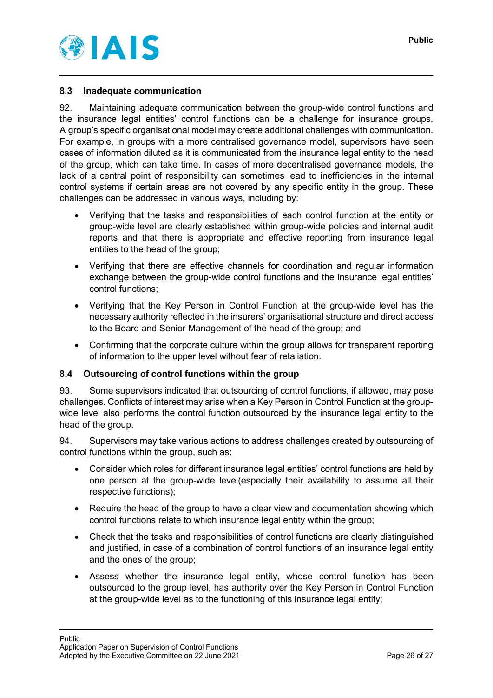



## <span id="page-25-0"></span>**8.3 Inadequate communication**

92. Maintaining adequate communication between the group-wide control functions and the insurance legal entities' control functions can be a challenge for insurance groups. A group's specific organisational model may create additional challenges with communication. For example, in groups with a more centralised governance model, supervisors have seen cases of information diluted as it is communicated from the insurance legal entity to the head of the group, which can take time. In cases of more decentralised governance models, the lack of a central point of responsibility can sometimes lead to inefficiencies in the internal control systems if certain areas are not covered by any specific entity in the group. These challenges can be addressed in various ways, including by:

- Verifying that the tasks and responsibilities of each control function at the entity or group-wide level are clearly established within group-wide policies and internal audit reports and that there is appropriate and effective reporting from insurance legal entities to the head of the group;
- Verifying that there are effective channels for coordination and regular information exchange between the group-wide control functions and the insurance legal entities' control functions;
- Verifying that the Key Person in Control Function at the group-wide level has the necessary authority reflected in the insurers' organisational structure and direct access to the Board and Senior Management of the head of the group; and
- Confirming that the corporate culture within the group allows for transparent reporting of information to the upper level without fear of retaliation.

#### <span id="page-25-1"></span>**8.4 Outsourcing of control functions within the group**

93. Some supervisors indicated that outsourcing of control functions, if allowed, may pose challenges. Conflicts of interest may arise when a Key Person in Control Function at the groupwide level also performs the control function outsourced by the insurance legal entity to the head of the group.

94. Supervisors may take various actions to address challenges created by outsourcing of control functions within the group, such as:

- Consider which roles for different insurance legal entities' control functions are held by one person at the group-wide level(especially their availability to assume all their respective functions);
- Require the head of the group to have a clear view and documentation showing which control functions relate to which insurance legal entity within the group;
- Check that the tasks and responsibilities of control functions are clearly distinguished and justified, in case of a combination of control functions of an insurance legal entity and the ones of the group;
- Assess whether the insurance legal entity, whose control function has been outsourced to the group level, has authority over the Key Person in Control Function at the group-wide level as to the functioning of this insurance legal entity;